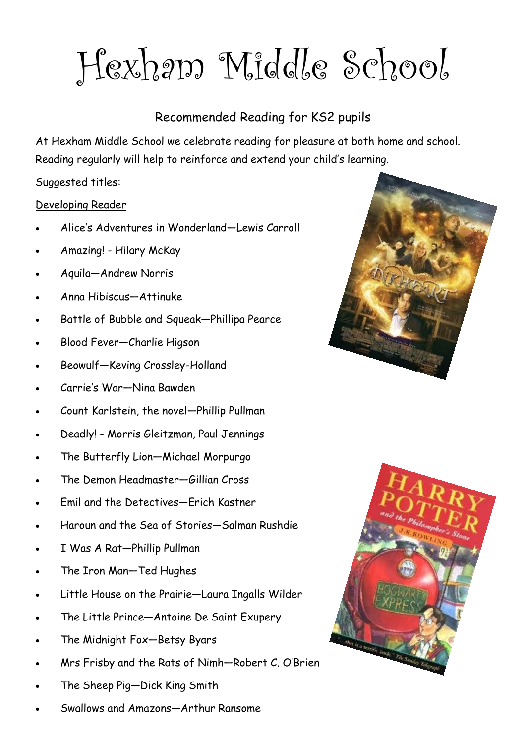Hexham Middle School

# Recommended Reading for KS2 pupils

At Hexham Middle School we celebrate reading for pleasure at both home and school. Reading regularly will help to reinforce and extend your child's learning.

Suggested titles:

## Developing Reader

- Alice's Adventures in Wonderland—Lewis Carroll
- Amazing! Hilary McKay
- Aquila—Andrew Norris
- Anna Hibiscus—Attinuke
- Battle of Bubble and Squeak—Phillipa Pearce
- Blood Fever—Charlie Higson
- Beowulf—Keving Crossley-Holland
- Carrie's War—Nina Bawden
- Count Karlstein, the novel—Phillip Pullman
- Deadly! Morris Gleitzman, Paul Jennings
- The Butterfly Lion—Michael Morpurgo
- The Demon Headmaster—Gillian Cross
- Emil and the Detectives—Erich Kastner
- Haroun and the Sea of Stories—Salman Rushdie
- I Was A Rat—Phillip Pullman
- The Iron Man—Ted Hughes
- Little House on the Prairie—Laura Ingalls Wilder
- The Little Prince—Antoine De Saint Exupery
- The Midnight Fox—Betsy Byars
- Mrs Frisby and the Rats of Nimh—Robert C. O'Brien
- The Sheep Pig—Dick King Smith
- Swallows and Amazons—Arthur Ransome



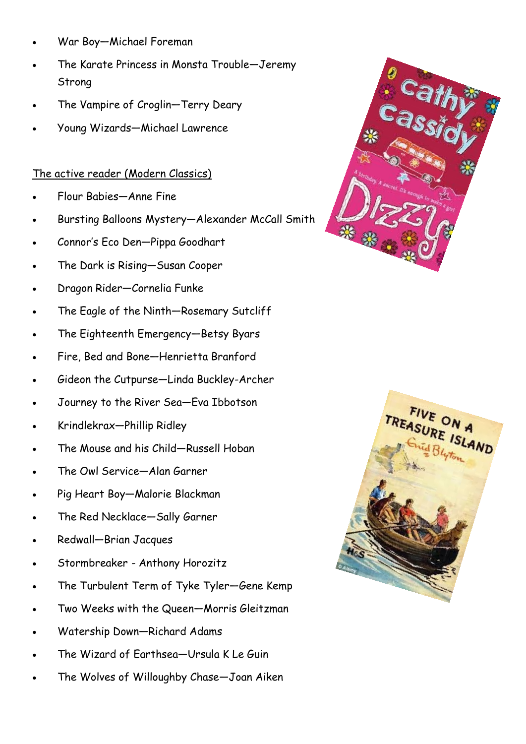- War Boy—Michael Foreman
- The Karate Princess in Monsta Trouble—Jeremy Strong
- The Vampire of Croglin—Terry Deary
- Young Wizards—Michael Lawrence

### The active reader (Modern Classics)

- Flour Babies—Anne Fine
- Bursting Balloons Mystery—Alexander McCall Smith
- Connor's Eco Den—Pippa Goodhart
- The Dark is Rising—Susan Cooper
- Dragon Rider—Cornelia Funke
- The Eagle of the Ninth—Rosemary Sutcliff
- The Eighteenth Emergency—Betsy Byars
- Fire, Bed and Bone—Henrietta Branford
- Gideon the Cutpurse—Linda Buckley-Archer
- Journey to the River Sea—Eva Ibbotson
- Krindlekrax—Phillip Ridley
- The Mouse and his Child—Russell Hoban
- The Owl Service—Alan Garner
- Pig Heart Boy—Malorie Blackman
- The Red Necklace—Sally Garner
- Redwall—Brian Jacques
- Stormbreaker Anthony Horozitz
- The Turbulent Term of Tyke Tyler—Gene Kemp
- Two Weeks with the Queen—Morris Gleitzman
- Watership Down—Richard Adams
- The Wizard of Earthsea—Ursula K Le Guin
- The Wolves of Willoughby Chase—Joan Aiken



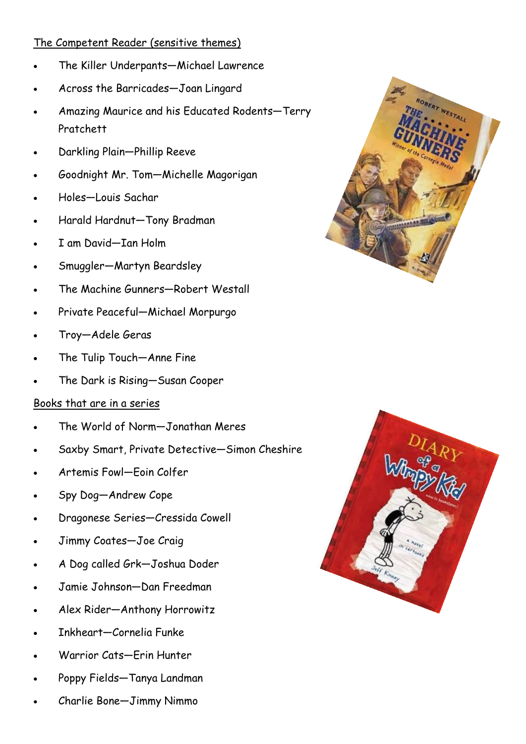# The Competent Reader (sensitive themes)

- The Killer Underpants—Michael Lawrence
- Across the Barricades—Joan Lingard
- Amazing Maurice and his Educated Rodents—Terry Pratchett
- Darkling Plain—Phillip Reeve
- Goodnight Mr. Tom—Michelle Magorigan
- Holes—Louis Sachar
- Harald Hardnut—Tony Bradman
- I am David—Ian Holm
- Smuggler—Martyn Beardsley
- The Machine Gunners—Robert Westall
- Private Peaceful—Michael Morpurgo
- Troy—Adele Geras
- The Tulip Touch—Anne Fine
- The Dark is Rising—Susan Cooper

## Books that are in a series

- The World of Norm—Jonathan Meres
- Saxby Smart, Private Detective—Simon Cheshire
- Artemis Fowl—Eoin Colfer
- Spy Dog—Andrew Cope
- Dragonese Series—Cressida Cowell
- Jimmy Coates—Joe Craig
- A Dog called Grk—Joshua Doder
- Jamie Johnson—Dan Freedman
- Alex Rider—Anthony Horrowitz
- Inkheart—Cornelia Funke
- Warrior Cats—Erin Hunter
- Poppy Fields—Tanya Landman
- Charlie Bone—Jimmy Nimmo